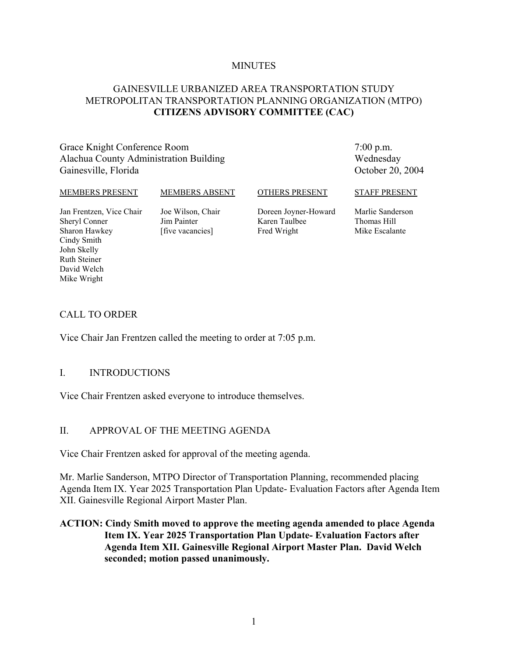#### **MINUTES**

#### GAINESVILLE URBANIZED AREA TRANSPORTATION STUDY METROPOLITAN TRANSPORTATION PLANNING ORGANIZATION (MTPO) **CITIZENS ADVISORY COMMITTEE (CAC)**

Grace Knight Conference Room Alachua County Administration Building Gainesville, Florida

7:00 p.m. Wednesday October 20, 2004

#### MEMBERS PRESENT

MEMBERS ABSENT

OTHERS PRESENT

Jan Frentzen, Vice Chair Sheryl Conner Sharon Hawkey Cindy Smith John Skelly Ruth Steiner David Welch Mike Wright

Joe Wilson, Chair Jim Painter [five vacancies]

Doreen Joyner-Howard Karen Taulbee Fred Wright

STAFF PRESENT

Marlie Sanderson Thomas Hill Mike Escalante

#### CALL TO ORDER

Vice Chair Jan Frentzen called the meeting to order at 7:05 p.m.

#### I. INTRODUCTIONS

Vice Chair Frentzen asked everyone to introduce themselves.

#### II. APPROVAL OF THE MEETING AGENDA

Vice Chair Frentzen asked for approval of the meeting agenda.

Mr. Marlie Sanderson, MTPO Director of Transportation Planning, recommended placing Agenda Item IX. Year 2025 Transportation Plan Update- Evaluation Factors after Agenda Item XII. Gainesville Regional Airport Master Plan.

#### **ACTION: Cindy Smith moved to approve the meeting agenda amended to place Agenda Item IX. Year 2025 Transportation Plan Update- Evaluation Factors after Agenda Item XII. Gainesville Regional Airport Master Plan. David Welch seconded; motion passed unanimously.**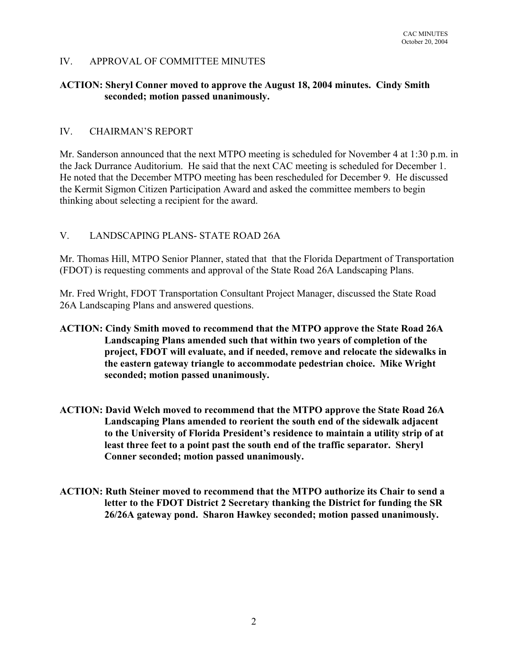## IV. APPROVAL OF COMMITTEE MINUTES

#### **ACTION: Sheryl Conner moved to approve the August 18, 2004 minutes. Cindy Smith seconded; motion passed unanimously.**

#### IV. CHAIRMAN'S REPORT

Mr. Sanderson announced that the next MTPO meeting is scheduled for November 4 at 1:30 p.m. in the Jack Durrance Auditorium. He said that the next CAC meeting is scheduled for December 1. He noted that the December MTPO meeting has been rescheduled for December 9. He discussed the Kermit Sigmon Citizen Participation Award and asked the committee members to begin thinking about selecting a recipient for the award.

## V. LANDSCAPING PLANS- STATE ROAD 26A

Mr. Thomas Hill, MTPO Senior Planner, stated that that the Florida Department of Transportation (FDOT) is requesting comments and approval of the State Road 26A Landscaping Plans.

Mr. Fred Wright, FDOT Transportation Consultant Project Manager, discussed the State Road 26A Landscaping Plans and answered questions.

- **ACTION: Cindy Smith moved to recommend that the MTPO approve the State Road 26A Landscaping Plans amended such that within two years of completion of the project, FDOT will evaluate, and if needed, remove and relocate the sidewalks in the eastern gateway triangle to accommodate pedestrian choice. Mike Wright seconded; motion passed unanimously.**
- **ACTION: David Welch moved to recommend that the MTPO approve the State Road 26A Landscaping Plans amended to reorient the south end of the sidewalk adjacent to the University of Florida President's residence to maintain a utility strip of at least three feet to a point past the south end of the traffic separator. Sheryl Conner seconded; motion passed unanimously.**
- **ACTION: Ruth Steiner moved to recommend that the MTPO authorize its Chair to send a letter to the FDOT District 2 Secretary thanking the District for funding the SR 26/26A gateway pond. Sharon Hawkey seconded; motion passed unanimously.**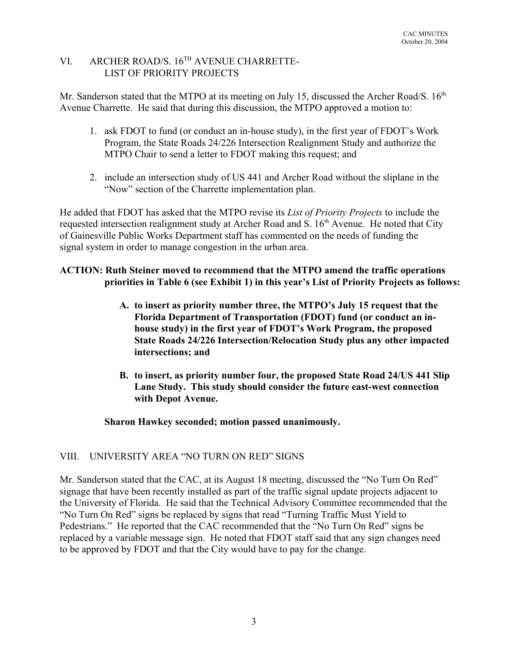# VI. ARCHER ROAD/S. 16TH AVENUE CHARRETTE-LIST OF PRIORITY PROJECTS

Mr. Sanderson stated that the MTPO at its meeting on July 15, discussed the Archer Road/S.  $16<sup>th</sup>$ Avenue Charrette. He said that during this discussion, the MTPO approved a motion to:

- 1. ask FDOT to fund (or conduct an in-house study), in the first year of FDOT's Work Program, the State Roads 24/226 Intersection Realignment Study and authorize the MTPO Chair to send a letter to FDOT making this request; and
- 2. include an intersection study of US 441 and Archer Road without the sliplane in the "Now" section of the Charrette implementation plan.

He added that FDOT has asked that the MTPO revise its *List of Priority Projects* to include the requested intersection realignment study at Archer Road and S. 16<sup>th</sup> Avenue. He noted that City of Gainesville Public Works Department staff has commented on the needs of funding the signal system in order to manage congestion in the urban area.

# **ACTION: Ruth Steiner moved to recommend that the MTPO amend the traffic operations priorities in Table 6 (see Exhibit 1) in this year's List of Priority Projects as follows:**

- **A. to insert as priority number three, the MTPO's July 15 request that the Florida Department of Transportation (FDOT) fund (or conduct an inhouse study) in the first year of FDOT's Work Program, the proposed State Roads 24/226 Intersection/Relocation Study plus any other impacted intersections; and**
- **B. to insert, as priority number four, the proposed State Road 24/US 441 Slip Lane Study. This study should consider the future east-west connection with Depot Avenue.**

## **Sharon Hawkey seconded; motion passed unanimously.**

# VIII. UNIVERSITY AREA "NO TURN ON RED" SIGNS

Mr. Sanderson stated that the CAC, at its August 18 meeting, discussed the "No Turn On Red" signage that have been recently installed as part of the traffic signal update projects adjacent to the University of Florida. He said that the Technical Advisory Committee recommended that the "No Turn On Red" signs be replaced by signs that read "Turning Traffic Must Yield to Pedestrians." He reported that the CAC recommended that the "No Turn On Red" signs be replaced by a variable message sign. He noted that FDOT staff said that any sign changes need to be approved by FDOT and that the City would have to pay for the change.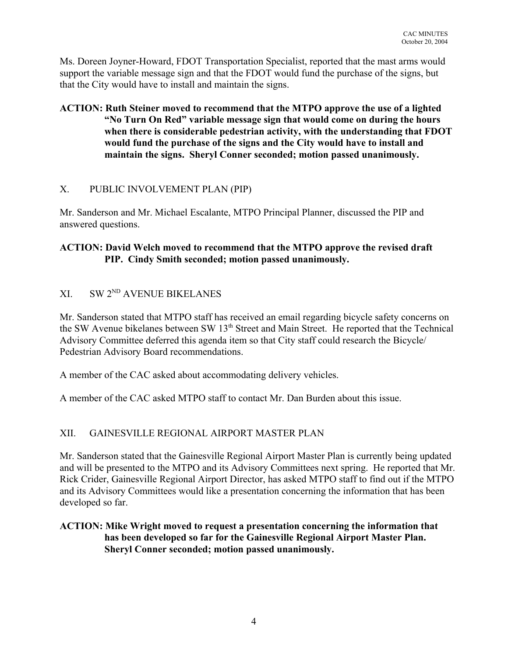Ms. Doreen Joyner-Howard, FDOT Transportation Specialist, reported that the mast arms would support the variable message sign and that the FDOT would fund the purchase of the signs, but that the City would have to install and maintain the signs.

## **ACTION: Ruth Steiner moved to recommend that the MTPO approve the use of a lighted "No Turn On Red" variable message sign that would come on during the hours when there is considerable pedestrian activity, with the understanding that FDOT would fund the purchase of the signs and the City would have to install and maintain the signs. Sheryl Conner seconded; motion passed unanimously.**

## X. PUBLIC INVOLVEMENT PLAN (PIP)

Mr. Sanderson and Mr. Michael Escalante, MTPO Principal Planner, discussed the PIP and answered questions.

## **ACTION: David Welch moved to recommend that the MTPO approve the revised draft PIP. Cindy Smith seconded; motion passed unanimously.**

# XI. SW 2ND AVENUE BIKELANES

Mr. Sanderson stated that MTPO staff has received an email regarding bicycle safety concerns on the SW Avenue bikelanes between SW 13<sup>th</sup> Street and Main Street. He reported that the Technical Advisory Committee deferred this agenda item so that City staff could research the Bicycle/ Pedestrian Advisory Board recommendations.

A member of the CAC asked about accommodating delivery vehicles.

A member of the CAC asked MTPO staff to contact Mr. Dan Burden about this issue.

# XII. GAINESVILLE REGIONAL AIRPORT MASTER PLAN

Mr. Sanderson stated that the Gainesville Regional Airport Master Plan is currently being updated and will be presented to the MTPO and its Advisory Committees next spring. He reported that Mr. Rick Crider, Gainesville Regional Airport Director, has asked MTPO staff to find out if the MTPO and its Advisory Committees would like a presentation concerning the information that has been developed so far.

## **ACTION: Mike Wright moved to request a presentation concerning the information that has been developed so far for the Gainesville Regional Airport Master Plan. Sheryl Conner seconded; motion passed unanimously.**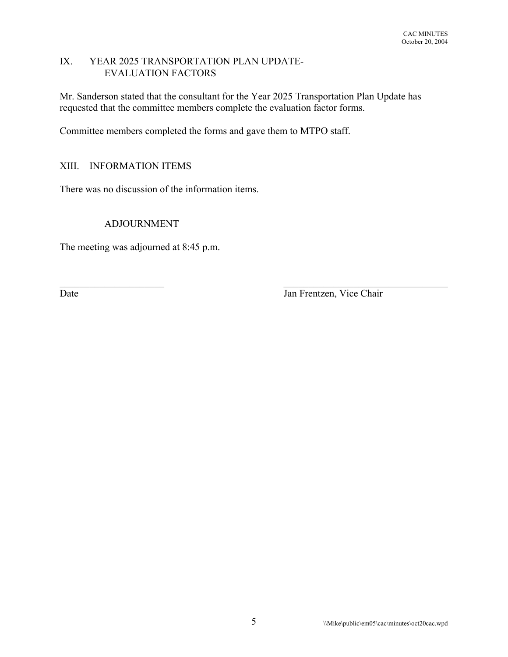#### IX. YEAR 2025 TRANSPORTATION PLAN UPDATE-EVALUATION FACTORS

Mr. Sanderson stated that the consultant for the Year 2025 Transportation Plan Update has requested that the committee members complete the evaluation factor forms.

 $\mathcal{L}_\text{max}$  and the contract of the contract of the contract of the contract of the contract of the contract of

Committee members completed the forms and gave them to MTPO staff.

# XIII. INFORMATION ITEMS

There was no discussion of the information items.

## ADJOURNMENT

The meeting was adjourned at 8:45 p.m.

Date Jan Frentzen, Vice Chair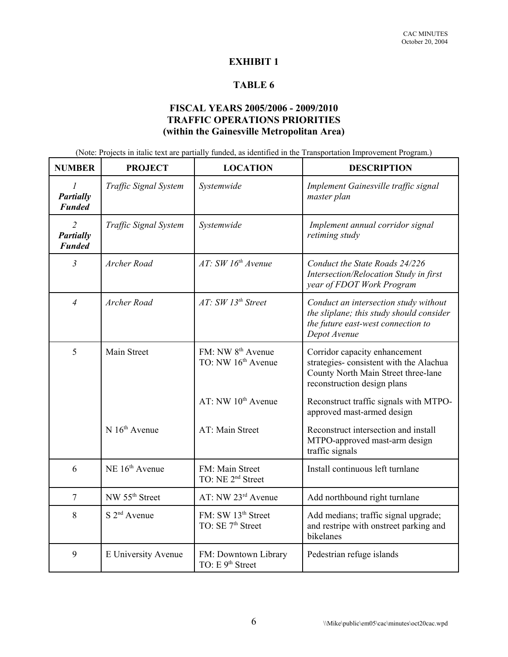## **EXHIBIT 1**

## **TABLE 6**

## **FISCAL YEARS 2005/2006 - 2009/2010 TRAFFIC OPERATIONS PRIORITIES (within the Gainesville Metropolitan Area)**

(Note: Projects in italic text are partially funded, as identified in the Transportation Improvement Program.)

| <b>NUMBER</b>                                       | <b>PROJECT</b>             | <b>LOCATION</b>                                                 | <b>DESCRIPTION</b>                                                                                                                            |
|-----------------------------------------------------|----------------------------|-----------------------------------------------------------------|-----------------------------------------------------------------------------------------------------------------------------------------------|
| $\overline{I}$<br>Partially<br><b>Funded</b>        | Traffic Signal System      | Systemwide                                                      | Implement Gainesville traffic signal<br>master plan                                                                                           |
| $\overline{2}$<br><b>Partially</b><br><b>Funded</b> | Traffic Signal System      | Systemwide                                                      | Implement annual corridor signal<br>retiming study                                                                                            |
| $\overline{3}$                                      | Archer Road                | AT: SW 16th Avenue                                              | Conduct the State Roads 24/226<br>Intersection/Relocation Study in first<br>year of FDOT Work Program                                         |
| $\overline{4}$                                      | Archer Road                | AT: SW 13th Street                                              | Conduct an intersection study without<br>the sliplane; this study should consider<br>the future east-west connection to<br>Depot Avenue       |
| 5                                                   | Main Street                | FM: NW 8 <sup>th</sup> Avenue<br>TO: NW 16 <sup>th</sup> Avenue | Corridor capacity enhancement<br>strategies-consistent with the Alachua<br>County North Main Street three-lane<br>reconstruction design plans |
|                                                     |                            | AT: NW 10 <sup>th</sup> Avenue                                  | Reconstruct traffic signals with MTPO-<br>approved mast-armed design                                                                          |
|                                                     | $N 16th$ Avenue            | AT: Main Street                                                 | Reconstruct intersection and install<br>MTPO-approved mast-arm design<br>traffic signals                                                      |
| 6                                                   | NE 16 <sup>th</sup> Avenue | FM: Main Street<br>TO: NE 2 <sup>nd</sup> Street                | Install continuous left turnlane                                                                                                              |
| $\overline{7}$                                      | NW 55 <sup>th</sup> Street | AT: NW 23rd Avenue                                              | Add northbound right turnlane                                                                                                                 |
| 8                                                   | $S$ $2nd$ Avenue           | FM: SW 13 <sup>th</sup> Street<br>TO: SE 7 <sup>th</sup> Street | Add medians; traffic signal upgrade;<br>and restripe with onstreet parking and<br>bikelanes                                                   |
| 9                                                   | E University Avenue        | FM: Downtown Library<br>TO: E 9 <sup>th</sup> Street            | Pedestrian refuge islands                                                                                                                     |